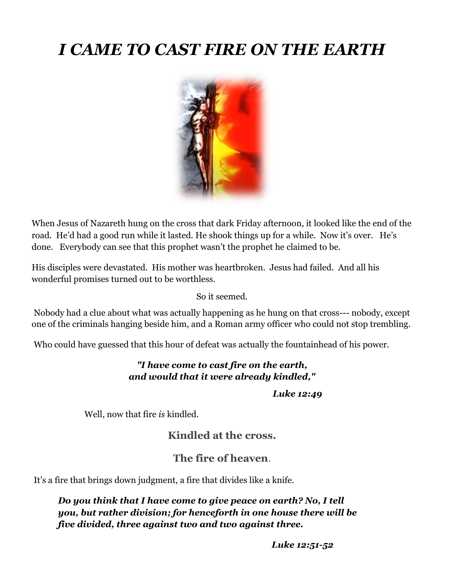# *I CAME TO CAST FIRE ON THE EARTH*



When Jesus of Nazareth hung on the cross that dark Friday afternoon, it looked like the end of the road. He'd had a good run while it lasted. He shook things up for a while. Now it's over. He's done. Everybody can see that this prophet wasn't the prophet he claimed to be.

His disciples were devastated. His mother was heartbroken. Jesus had failed. And all his wonderful promises turned out to be worthless.

So it seemed.

Nobody had a clue about what was actually happening as he hung on that cross--- nobody, except one of the criminals hanging beside him, and a Roman army officer who could not stop trembling.

Who could have guessed that this hour of defeat was actually the fountainhead of his power.

#### *"I have come to cast fire on the earth, and would that it were already kindled,"*

*Luke 12:49*

Well, now that fire *is* kindled.

#### **Kindled at the cross.**

#### **The fire of heaven**.

It's a fire that brings down judgment, a fire that divides like a knife.

#### *Do you think that I have come to give peace on earth? No, I tell you, but rather division; for henceforth in one house there will be five divided, three against two and two against three.*

*Luke 12:51-52*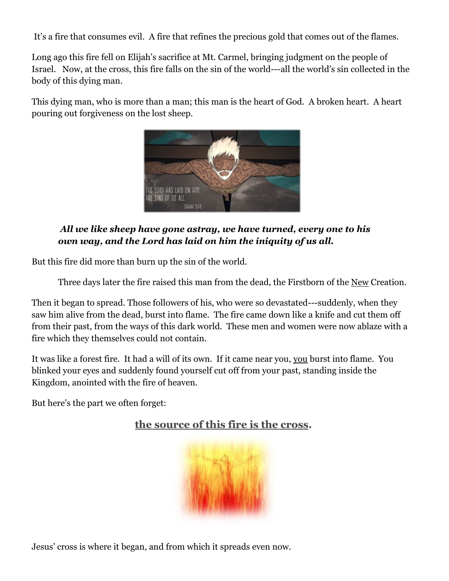It's a fire that consumes evil. A fire that refines the precious gold that comes out of the flames.

Long ago this fire fell on Elijah's sacrifice at Mt. Carmel, bringing judgment on the people of Israel. Now, at the cross, this fire falls on the sin of the world---all the world's sin collected in the body of this dying man.

This dying man, who is more than a man; this man is the heart of God. A broken heart. A heart pouring out forgiveness on the lost sheep.



#### *All we like sheep have gone astray, we have turned, every one to his own way, and the Lord has laid on him the iniquity of us all.*

But this fire did more than burn up the sin of the world.

Three days later the fire raised this man from the dead, the Firstborn of the New Creation.

Then it began to spread. Those followers of his, who were so devastated---suddenly, when they saw him alive from the dead, burst into flame. The fire came down like a knife and cut them off from their past, from the ways of this dark world. These men and women were now ablaze with a fire which they themselves could not contain.

It was like a forest fire. It had a will of its own. If it came near you, you burst into flame. You blinked your eyes and suddenly found yourself cut off from your past, standing inside the Kingdom, anointed with the fire of heaven.

But here's the part we often forget:



# **the source of this fire is the cross.**

Jesus' cross is where it began, and from which it spreads even now.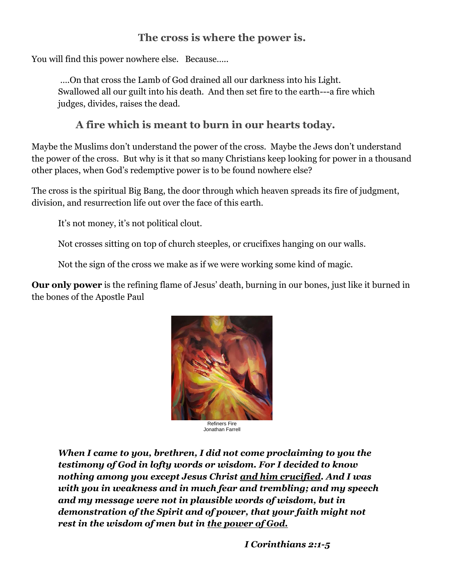### **The cross is where the power is.**

You will find this power nowhere else. Because…..

….On that cross the Lamb of God drained all our darkness into his Light. Swallowed all our guilt into his death. And then set fire to the earth---a fire which judges, divides, raises the dead.

#### **A fire which is meant to burn in our hearts today.**

Maybe the Muslims don't understand the power of the cross. Maybe the Jews don't understand the power of the cross. But why is it that so many Christians keep looking for power in a thousand other places, when God's redemptive power is to be found nowhere else?

The cross is the spiritual Big Bang, the door through which heaven spreads its fire of judgment, division, and resurrection life out over the face of this earth.

It's not money, it's not political clout.

Not crosses sitting on top of church steeples, or crucifixes hanging on our walls.

Not the sign of the cross we make as if we were working some kind of magic.

**Our only power** is the refining flame of Jesus' death, burning in our bones, just like it burned in the bones of the Apostle Paul



Refiners Fire Jonathan Farrell

*When I came to you, brethren, I did not come proclaiming to you the testimony of God in lofty words or wisdom. For I decided to know nothing among you except Jesus Christ and him crucified. And I was with you in weakness and in much fear and trembling; and my speech and my message were not in plausible words of wisdom, but in demonstration of the Spirit and of power, that your faith might not rest in the wisdom of men but in the power of God.*

 *I Corinthians 2:1-5*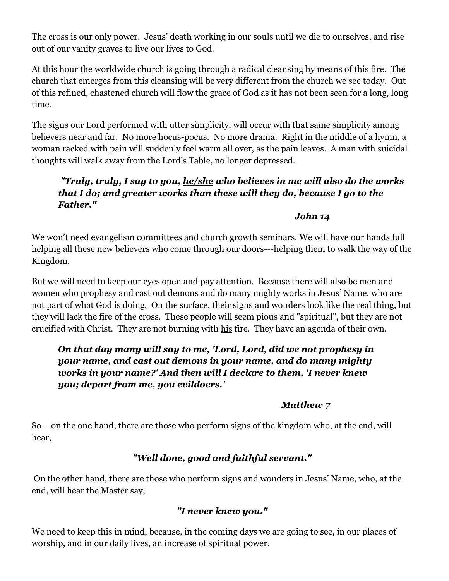The cross is our only power. Jesus' death working in our souls until we die to ourselves, and rise out of our vanity graves to live our lives to God.

At this hour the worldwide church is going through a radical cleansing by means of this fire. The church that emerges from this cleansing will be very different from the church we see today. Out of this refined, chastened church will flow the grace of God as it has not been seen for a long, long time.

The signs our Lord performed with utter simplicity, will occur with that same simplicity among believers near and far. No more hocus-pocus. No more drama. Right in the middle of a hymn, a woman racked with pain will suddenly feel warm all over, as the pain leaves. A man with suicidal thoughts will walk away from the Lord's Table, no longer depressed.

#### *"Truly, truly, I say to you, he/she who believes in me will also do the works that I do; and greater works than these will they do, because I go to the Father."*

*John 14*

We won't need evangelism committees and church growth seminars. We will have our hands full helping all these new believers who come through our doors---helping them to walk the way of the Kingdom.

But we will need to keep our eyes open and pay attention. Because there will also be men and women who prophesy and cast out demons and do many mighty works in Jesus' Name, who are not part of what God is doing. On the surface, their signs and wonders look like the real thing, but they will lack the fire of the cross. These people will seem pious and "spiritual", but they are not crucified with Christ. They are not burning with his fire. They have an agenda of their own.

#### *On that day many will say to me, 'Lord, Lord, did we not prophesy in your name, and cast out demons in your name, and do many mighty works in your name?' And then will I declare to them, 'I never knew you; depart from me, you evildoers.'*

#### *Matthew 7*

So---on the one hand, there are those who perform signs of the kingdom who, at the end, will hear,

#### *"Well done, good and faithful servant."*

On the other hand, there are those who perform signs and wonders in Jesus' Name, who, at the end, will hear the Master say,

#### *"I never knew you."*

We need to keep this in mind, because, in the coming days we are going to see, in our places of worship, and in our daily lives, an increase of spiritual power.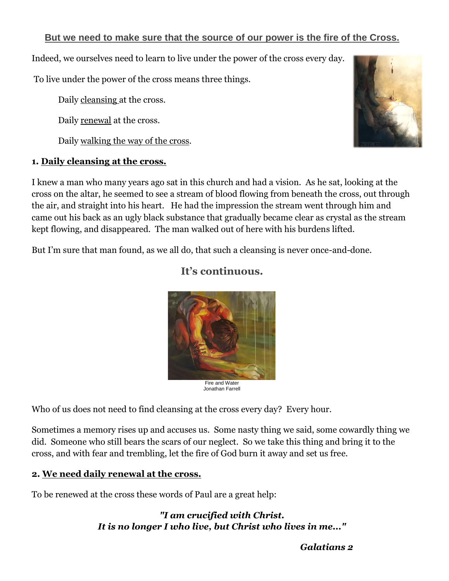#### **But we need to make sure that the source of our power is the fire of the Cross.**

Indeed, we ourselves need to learn to live under the power of the cross every day.

To live under the power of the cross means three things.

Daily cleansing at the cross.

Daily renewal at the cross.

Daily walking the way of the cross.

#### **1. Daily cleansing at the cross.**

I knew a man who many years ago sat in this church and had a vision. As he sat, looking at the cross on the altar, he seemed to see a stream of blood flowing from beneath the cross, out through the air, and straight into his heart. He had the impression the stream went through him and came out his back as an ugly black substance that gradually became clear as crystal as the stream kept flowing, and disappeared. The man walked out of here with his burdens lifted.

**It's continuous.** 

But I'm sure that man found, as we all do, that such a cleansing is never once-and-done.

# Fire and Water

Jonathan Farrell

Who of us does not need to find cleansing at the cross every day? Every hour.

Sometimes a memory rises up and accuses us. Some nasty thing we said, some cowardly thing we did. Someone who still bears the scars of our neglect. So we take this thing and bring it to the cross, and with fear and trembling, let the fire of God burn it away and set us free.

#### **2. We need daily renewal at the cross.**

To be renewed at the cross these words of Paul are a great help:

#### *"I am crucified with Christ. It is no longer I who live, but Christ who lives in me..."*





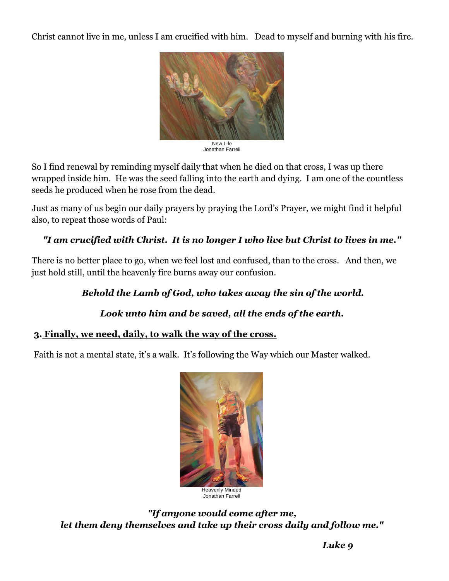Christ cannot live in me, unless I am crucified with him. Dead to myself and burning with his fire.



Jonathan Farrell

So I find renewal by reminding myself daily that when he died on that cross, I was up there wrapped inside him. He was the seed falling into the earth and dying. I am one of the countless seeds he produced when he rose from the dead.

Just as many of us begin our daily prayers by praying the Lord's Prayer, we might find it helpful also, to repeat those words of Paul:

#### *"I am crucified with Christ. It is no longer I who live but Christ to lives in me."*

There is no better place to go, when we feel lost and confused, than to the cross. And then, we just hold still, until the heavenly fire burns away our confusion.

#### *Behold the Lamb of God, who takes away the sin of the world.*

#### *Look unto him and be saved, all the ends of the earth.*

#### **3. Finally, we need, daily, to walk the way of the cross.**

Faith is not a mental state, it's a walk. It's following the Way which our Master walked.



*"If anyone would come after me, let them deny themselves and take up their cross daily and follow me."*